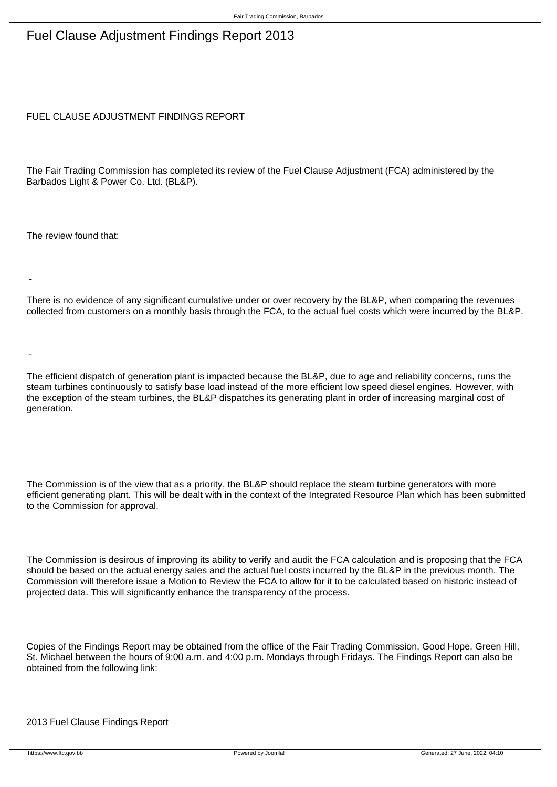## Fuel Clause Adjustment Findings Report 2013

FUEL CLAUSE ADJUSTMENT FINDINGS REPORT

The Fair Trading Commission has completed its review of the Fuel Clause Adjustment (FCA) administered by the Barbados Light & Power Co. Ltd. (BL&P).

The review found that:

-

-

 There is no evidence of any significant cumulative under or over recovery by the BL&P, when comparing the revenues collected from customers on a monthly basis through the FCA, to the actual fuel costs which were incurred by the BL&P.

 The efficient dispatch of generation plant is impacted because the BL&P, due to age and reliability concerns, runs the steam turbines continuously to satisfy base load instead of the more efficient low speed diesel engines. However, with the exception of the steam turbines, the BL&P dispatches its generating plant in order of increasing marginal cost of generation.

The Commission is of the view that as a priority, the BL&P should replace the steam turbine generators with more efficient generating plant. This will be dealt with in the context of the Integrated Resource Plan which has been submitted to the Commission for approval.

The Commission is desirous of improving its ability to verify and audit the FCA calculation and is proposing that the FCA should be based on the actual energy sales and the actual fuel costs incurred by the BL&P in the previous month. The Commission will therefore issue a Motion to Review the FCA to allow for it to be calculated based on historic instead of projected data. This will significantly enhance the transparency of the process.

Copies of the Findings Report may be obtained from the office of the Fair Trading Commission, Good Hope, Green Hill, St. Michael between the hours of 9:00 a.m. and 4:00 p.m. Mondays through Fridays. The Findings Report can also be obtained from the following link: